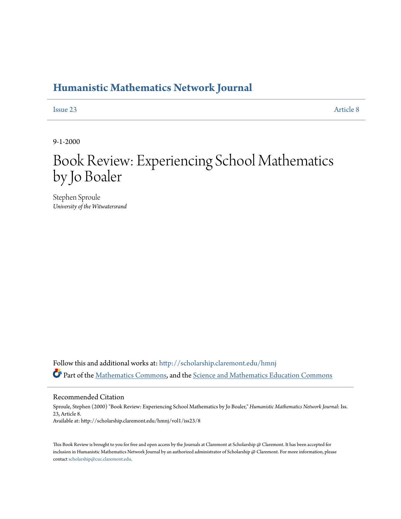## **[Humanistic Mathematics Network Journal](http://scholarship.claremont.edu/hmnj?utm_source=scholarship.claremont.edu%2Fhmnj%2Fvol1%2Fiss23%2F8&utm_medium=PDF&utm_campaign=PDFCoverPages)**

[Issue 23](http://scholarship.claremont.edu/hmnj/vol1/iss23?utm_source=scholarship.claremont.edu%2Fhmnj%2Fvol1%2Fiss23%2F8&utm_medium=PDF&utm_campaign=PDFCoverPages) [Article 8](http://scholarship.claremont.edu/hmnj/vol1/iss23/8?utm_source=scholarship.claremont.edu%2Fhmnj%2Fvol1%2Fiss23%2F8&utm_medium=PDF&utm_campaign=PDFCoverPages)

9-1-2000

## Book Review: Experiencing School Mathematics by Jo Boaler

Stephen Sproule *University of the Witwatersrand*

Follow this and additional works at: [http://scholarship.claremont.edu/hmnj](http://scholarship.claremont.edu/hmnj?utm_source=scholarship.claremont.edu%2Fhmnj%2Fvol1%2Fiss23%2F8&utm_medium=PDF&utm_campaign=PDFCoverPages) Part of the [Mathematics Commons](http://network.bepress.com/hgg/discipline/174?utm_source=scholarship.claremont.edu%2Fhmnj%2Fvol1%2Fiss23%2F8&utm_medium=PDF&utm_campaign=PDFCoverPages), and the [Science and Mathematics Education Commons](http://network.bepress.com/hgg/discipline/800?utm_source=scholarship.claremont.edu%2Fhmnj%2Fvol1%2Fiss23%2F8&utm_medium=PDF&utm_campaign=PDFCoverPages)

Recommended Citation

Sproule, Stephen (2000) "Book Review: Experiencing School Mathematics by Jo Boaler," *Humanistic Mathematics Network Journal*: Iss. 23, Article 8. Available at: http://scholarship.claremont.edu/hmnj/vol1/iss23/8

This Book Review is brought to you for free and open access by the Journals at Claremont at Scholarship  $\varnothing$  Claremont. It has been accepted for inclusion in Humanistic Mathematics Network Journal by an authorized administrator of Scholarship @ Claremont. For more information, please contact [scholarship@cuc.claremont.edu](mailto:scholarship@cuc.claremont.edu).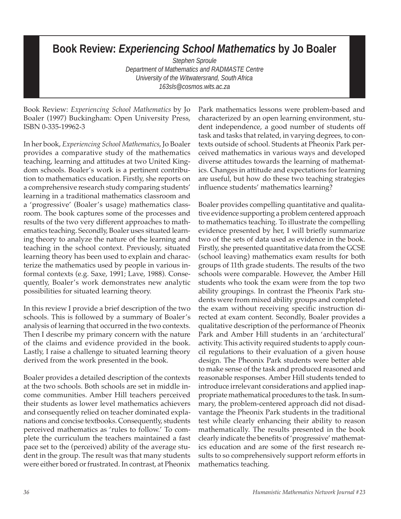## **Book Review:** *Experiencing School Mathematics* **by Jo Boaler**

*Stephen Sproule Department of Mathematics and RADMASTE Centre University of the Witwatersrand, South Africa 163sls@cosmos.wits.ac.za*

Book Review: *Experiencing School Mathematics* by Jo Boaler (1997) Buckingham: Open University Press, ISBN 0-335-19962-3

In her book, *Experiencing School Mathematics*, Jo Boaler provides a comparative study of the mathematics teaching, learning and attitudes at two United Kingdom schools. Boaler's work is a pertinent contribution to mathematics education. Firstly, she reports on a comprehensive research study comparing students' learning in a traditional mathematics classroom and a 'progressive' (Boaler's usage) mathematics classroom. The book captures some of the processes and results of the two very different approaches to mathematics teaching. Secondly, Boaler uses situated learning theory to analyze the nature of the learning and teaching in the school context. Previously, situated learning theory has been used to explain and characterize the mathematics used by people in various informal contexts (e.g. Saxe, 1991; Lave, 1988). Consequently, Boaler's work demonstrates new analytic possibilities for situated learning theory.

In this review I provide a brief description of the two schools. This is followed by a summary of Boaler's analysis of learning that occurred in the two contexts. Then I describe my primary concern with the nature of the claims and evidence provided in the book. Lastly, I raise a challenge to situated learning theory derived from the work presented in the book.

Boaler provides a detailed description of the contexts at the two schools. Both schools are set in middle income communities. Amber Hill teachers perceived their students as lower level mathematics achievers and consequently relied on teacher dominated explanations and concise textbooks. Consequently, students perceived mathematics as 'rules to follow.' To complete the curriculum the teachers maintained a fast pace set to the (perceived) ability of the average student in the group. The result was that many students were either bored or frustrated. In contrast, at Pheonix Park mathematics lessons were problem-based and characterized by an open learning environment, student independence, a good number of students off task and tasks that related, in varying degrees, to contexts outside of school. Students at Pheonix Park perceived mathematics in various ways and developed diverse attitudes towards the learning of mathematics. Changes in attitude and expectations for learning are useful, but how do these two teaching strategies influence students' mathematics learning?

Boaler provides compelling quantitative and qualitative evidence supporting a problem centered approach to mathematics teaching. To illustrate the compelling evidence presented by her, I will briefly summarize two of the sets of data used as evidence in the book. Firstly, she presented quantitative data from the GCSE (school leaving) mathematics exam results for both groups of 11th grade students. The results of the two schools were comparable. However, the Amber Hill students who took the exam were from the top two ability groupings. In contrast the Pheonix Park students were from mixed ability groups and completed the exam without receiving specific instruction directed at exam content. Secondly, Boaler provides a qualitative description of the performance of Pheonix Park and Amber Hill students in an 'architectural' activity. This activity required students to apply council regulations to their evaluation of a given house design. The Pheonix Park students were better able to make sense of the task and produced reasoned and reasonable responses. Amber Hill students tended to introduce irrelevant considerations and applied inappropriate mathematical procedures to the task. In summary, the problem-centered approach did not disadvantage the Pheonix Park students in the traditional test while clearly enhancing their ability to reason mathematically. The results presented in the book clearly indicate the benefits of 'progressive' mathematics education and are some of the first research results to so comprehensively support reform efforts in mathematics teaching.